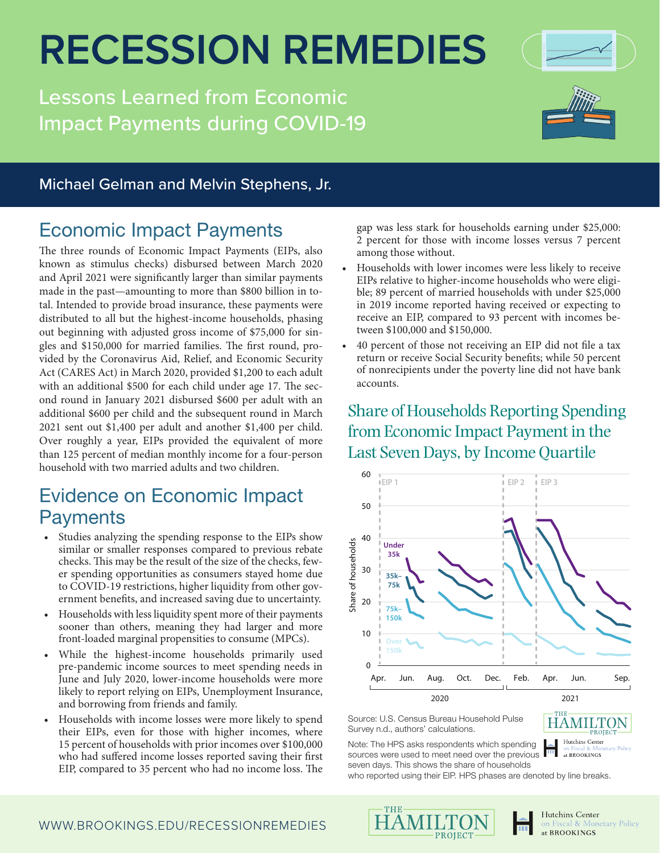## **RECESSION REMEDIES**

Lessons Learned from Economic Impact Payments during COVID-19



- Households with lower incomes were less likely to receive EIPs relative to higher-income households who were eligible; 89 percent of married households with under \$25,000 in 2019 income reported having received or expecting to receive an EIP, compared to 93 percent with incomes between \$100,000 and \$150,000.
- 40 percent of those not receiving an EIP did not file a tax return or receive Social Security benefits; while 50 percent of nonrecipients under the poverty line did not have bank accounts.

#### Share of Households Reporting Spending from Economic Impact Payment in the Last Seven Days, by Income Quartile



Source: U.S. Census Bureau Household Pulse Survey n.d., authors' calculations.

**HAMILTON** Hutchins Center

Note: The HPS asks respondents which spending sources were used to meet need over the previous at BROOKINGS

seven days. This shows the share of households who reported using their EIP. HPS phases are denoted by line breaks.

## Economic Impact Payments

Michael Gelman and Melvin Stephens, Jr.

The three rounds of Economic Impact Payments (EIPs, also known as stimulus checks) disbursed between March 2020 and April 2021 were significantly larger than similar payments made in the past—amounting to more than \$800 billion in total. Intended to provide broad insurance, these payments were distributed to all but the highest-income households, phasing out beginning with adjusted gross income of \$75,000 for singles and \$150,000 for married families. The first round, provided by the Coronavirus Aid, Relief, and Economic Security Act (CARES Act) in March 2020, provided \$1,200 to each adult with an additional \$500 for each child under age 17. The second round in January 2021 disbursed \$600 per adult with an additional \$600 per child and the subsequent round in March 2021 sent out \$1,400 per adult and another \$1,400 per child. Over roughly a year, EIPs provided the equivalent of more than 125 percent of median monthly income for a four-person household with two married adults and two children.

### Evidence on Economic Impact **Payments**

- Studies analyzing the spending response to the EIPs show similar or smaller responses compared to previous rebate checks. This may be the result of the size of the checks, fewer spending opportunities as consumers stayed home due to COVID-19 restrictions, higher liquidity from other government benefits, and increased saving due to uncertainty.
- Households with less liquidity spent more of their payments sooner than others, meaning they had larger and more front-loaded marginal propensities to consume (MPCs).
- While the highest-income households primarily used pre-pandemic income sources to meet spending needs in June and July 2020, lower-income households were more likely to report relying on EIPs, Unemployment Insurance, and borrowing from friends and family.
- Households with income losses were more likely to spend their EIPs, even for those with higher incomes, where 15 percent of households with prior incomes over \$100,000 who had suffered income losses reported saving their first EIP, compared to 35 percent who had no income loss. The





Hutchins Center Fiscal & Monetary Policy at BROOKINGS